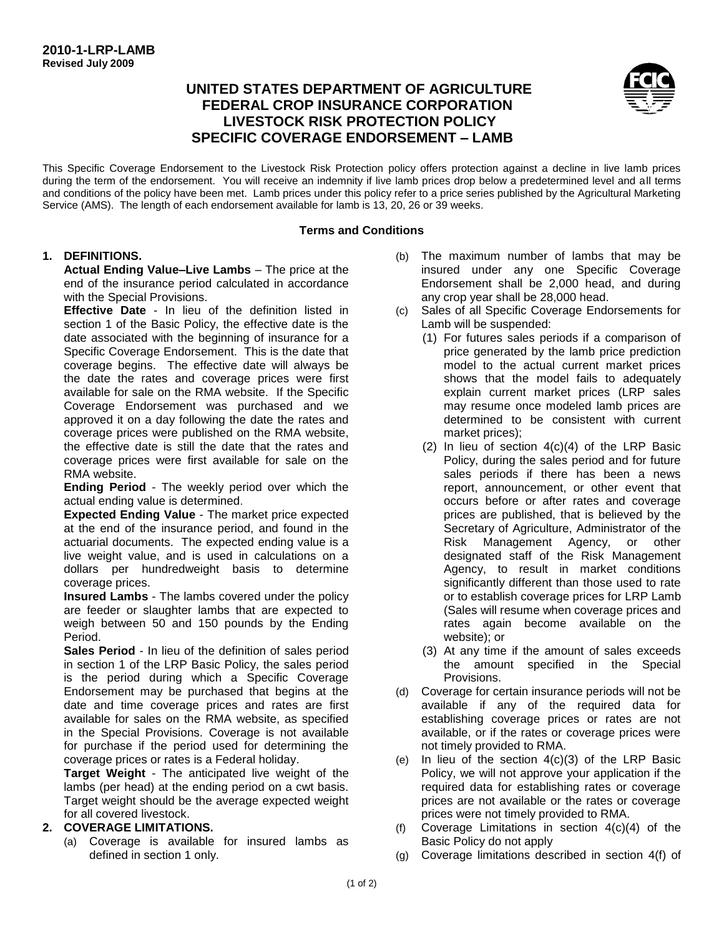# **UNITED STATES DEPARTMENT OF AGRICULTURE FEDERAL CROP INSURANCE CORPORATION LIVESTOCK RISK PROTECTION POLICY SPECIFIC COVERAGE ENDORSEMENT – LAMB**



This Specific Coverage Endorsement to the Livestock Risk Protection policy offers protection against a decline in live lamb prices during the term of the endorsement. You will receive an indemnity if live lamb prices drop below a predetermined level and all terms and conditions of the policy have been met. Lamb prices under this policy refer to a price series published by the Agricultural Marketing Service (AMS). The length of each endorsement available for lamb is 13, 20, 26 or 39 weeks.

#### **Terms and Conditions**

### **1. DEFINITIONS.**

**Actual Ending Value–Live Lambs** – The price at the end of the insurance period calculated in accordance with the Special Provisions.

**Effective Date** - In lieu of the definition listed in section 1 of the Basic Policy, the effective date is the date associated with the beginning of insurance for a Specific Coverage Endorsement. This is the date that coverage begins. The effective date will always be the date the rates and coverage prices were first available for sale on the RMA website. If the Specific Coverage Endorsement was purchased and we approved it on a day following the date the rates and coverage prices were published on the RMA website, the effective date is still the date that the rates and coverage prices were first available for sale on the RMA website.

**Ending Period** - The weekly period over which the actual ending value is determined.

**Expected Ending Value** - The market price expected at the end of the insurance period, and found in the actuarial documents. The expected ending value is a live weight value, and is used in calculations on a dollars per hundredweight basis to determine coverage prices.

**Insured Lambs** - The lambs covered under the policy are feeder or slaughter lambs that are expected to weigh between 50 and 150 pounds by the Ending Period.

**Sales Period** - In lieu of the definition of sales period in section 1 of the LRP Basic Policy, the sales period is the period during which a Specific Coverage Endorsement may be purchased that begins at the date and time coverage prices and rates are first available for sales on the RMA website, as specified in the Special Provisions. Coverage is not available for purchase if the period used for determining the coverage prices or rates is a Federal holiday.

**Target Weight** - The anticipated live weight of the lambs (per head) at the ending period on a cwt basis. Target weight should be the average expected weight for all covered livestock.

### **2. COVERAGE LIMITATIONS.**

(a) Coverage is available for insured lambs as defined in section 1 only.

- (b) The maximum number of lambs that may be insured under any one Specific Coverage Endorsement shall be 2,000 head, and during any crop year shall be 28,000 head.
- (c) Sales of all Specific Coverage Endorsements for Lamb will be suspended:
	- (1) For futures sales periods if a comparison of price generated by the lamb price prediction model to the actual current market prices shows that the model fails to adequately explain current market prices (LRP sales may resume once modeled lamb prices are determined to be consistent with current market prices);
	- (2) In lieu of section 4(c)(4) of the LRP Basic Policy, during the sales period and for future sales periods if there has been a news report, announcement, or other event that occurs before or after rates and coverage prices are published, that is believed by the Secretary of Agriculture, Administrator of the Risk Management Agency, or other designated staff of the Risk Management Agency, to result in market conditions significantly different than those used to rate or to establish coverage prices for LRP Lamb (Sales will resume when coverage prices and rates again become available on the website); or
	- (3) At any time if the amount of sales exceeds the amount specified in the Special Provisions.
- (d) Coverage for certain insurance periods will not be available if any of the required data for establishing coverage prices or rates are not available, or if the rates or coverage prices were not timely provided to RMA.
- (e) In lieu of the section  $4(c)(3)$  of the LRP Basic Policy, we will not approve your application if the required data for establishing rates or coverage prices are not available or the rates or coverage prices were not timely provided to RMA.
- (f) Coverage Limitations in section 4(c)(4) of the Basic Policy do not apply
- (g) Coverage limitations described in section 4(f) of